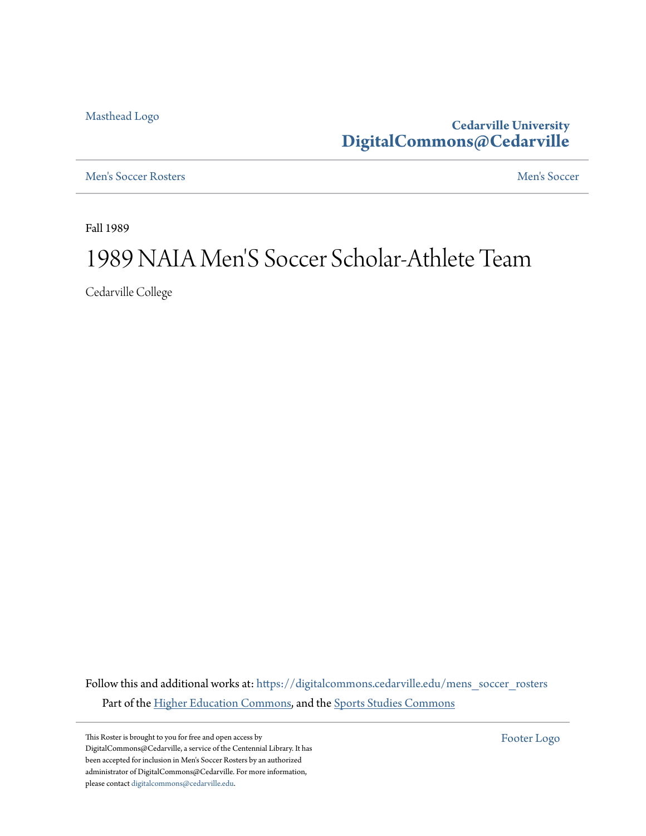[Masthead Logo](http://www.cedarville.edu/?utm_source=digitalcommons.cedarville.edu%2Fmens_soccer_rosters%2F107&utm_medium=PDF&utm_campaign=PDFCoverPages)

**Cedarville University [DigitalCommons@Cedarville](https://digitalcommons.cedarville.edu?utm_source=digitalcommons.cedarville.edu%2Fmens_soccer_rosters%2F107&utm_medium=PDF&utm_campaign=PDFCoverPages)**

[Men's Soccer Rosters](https://digitalcommons.cedarville.edu/mens_soccer_rosters?utm_source=digitalcommons.cedarville.edu%2Fmens_soccer_rosters%2F107&utm_medium=PDF&utm_campaign=PDFCoverPages) [Men's Soccer](https://digitalcommons.cedarville.edu/mens_soccer?utm_source=digitalcommons.cedarville.edu%2Fmens_soccer_rosters%2F107&utm_medium=PDF&utm_campaign=PDFCoverPages)

Fall 1989

## 1989 NAIA Men 'S Soccer Scholar-Athlete Team

Cedarville College

Follow this and additional works at: [https://digitalcommons.cedarville.edu/mens\\_soccer\\_rosters](https://digitalcommons.cedarville.edu/mens_soccer_rosters?utm_source=digitalcommons.cedarville.edu%2Fmens_soccer_rosters%2F107&utm_medium=PDF&utm_campaign=PDFCoverPages) Part of the [Higher Education Commons](http://network.bepress.com/hgg/discipline/1245?utm_source=digitalcommons.cedarville.edu%2Fmens_soccer_rosters%2F107&utm_medium=PDF&utm_campaign=PDFCoverPages), and the [Sports Studies Commons](http://network.bepress.com/hgg/discipline/1198?utm_source=digitalcommons.cedarville.edu%2Fmens_soccer_rosters%2F107&utm_medium=PDF&utm_campaign=PDFCoverPages)

This Roster is brought to you for free and open access by DigitalCommons@Cedarville, a service of the Centennial Library. It has been accepted for inclusion in Men's Soccer Rosters by an authorized administrator of DigitalCommons@Cedarville. For more information, please contact [digitalcommons@cedarville.edu.](mailto:digitalcommons@cedarville.edu)

[Footer Logo](http://www.cedarville.edu/Academics/Library.aspx?utm_source=digitalcommons.cedarville.edu%2Fmens_soccer_rosters%2F107&utm_medium=PDF&utm_campaign=PDFCoverPages)